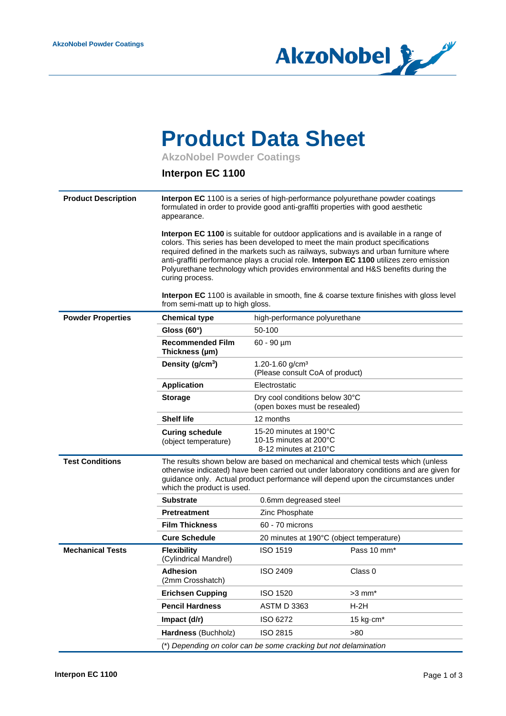

## **Product Data Sheet**

**AkzoNobel Powder Coatings**

## **Interpon EC 1100**

| <b>Product Description</b> | Interpon EC 1100 is a series of high-performance polyurethane powder coatings<br>formulated in order to provide good anti-graffiti properties with good aesthetic<br>appearance.                                                                                                                                                                                                                                                                                |                                                                                                                                                                                                                                                                    |                                          |  |  |  |  |
|----------------------------|-----------------------------------------------------------------------------------------------------------------------------------------------------------------------------------------------------------------------------------------------------------------------------------------------------------------------------------------------------------------------------------------------------------------------------------------------------------------|--------------------------------------------------------------------------------------------------------------------------------------------------------------------------------------------------------------------------------------------------------------------|------------------------------------------|--|--|--|--|
|                            | Interpon EC 1100 is suitable for outdoor applications and is available in a range of<br>colors. This series has been developed to meet the main product specifications<br>required defined in the markets such as railways, subways and urban furniture where<br>anti-graffiti performance plays a crucial role. Interpon EC 1100 utilizes zero emission<br>Polyurethane technology which provides environmental and H&S benefits during the<br>curing process. |                                                                                                                                                                                                                                                                    |                                          |  |  |  |  |
|                            | <b>Interpon EC</b> 1100 is available in smooth, fine & coarse texture finishes with gloss level<br>from semi-matt up to high gloss.                                                                                                                                                                                                                                                                                                                             |                                                                                                                                                                                                                                                                    |                                          |  |  |  |  |
| <b>Powder Properties</b>   | <b>Chemical type</b>                                                                                                                                                                                                                                                                                                                                                                                                                                            | high-performance polyurethane                                                                                                                                                                                                                                      |                                          |  |  |  |  |
|                            | Gloss $(60^\circ)$                                                                                                                                                                                                                                                                                                                                                                                                                                              | 50-100                                                                                                                                                                                                                                                             |                                          |  |  |  |  |
|                            | <b>Recommended Film</b><br>Thickness (µm)                                                                                                                                                                                                                                                                                                                                                                                                                       | $60 - 90 \mu m$                                                                                                                                                                                                                                                    |                                          |  |  |  |  |
|                            | Density (g/cm <sup>3</sup> )                                                                                                                                                                                                                                                                                                                                                                                                                                    | 1.20-1.60 g/cm <sup>3</sup><br>(Please consult CoA of product)                                                                                                                                                                                                     |                                          |  |  |  |  |
|                            | <b>Application</b>                                                                                                                                                                                                                                                                                                                                                                                                                                              | Electrostatic                                                                                                                                                                                                                                                      |                                          |  |  |  |  |
|                            | <b>Storage</b>                                                                                                                                                                                                                                                                                                                                                                                                                                                  | Dry cool conditions below 30°C<br>(open boxes must be resealed)                                                                                                                                                                                                    |                                          |  |  |  |  |
|                            | <b>Shelf life</b>                                                                                                                                                                                                                                                                                                                                                                                                                                               | 12 months                                                                                                                                                                                                                                                          |                                          |  |  |  |  |
|                            | <b>Curing schedule</b><br>(object temperature)                                                                                                                                                                                                                                                                                                                                                                                                                  | 15-20 minutes at 190°C<br>10-15 minutes at 200°C<br>8-12 minutes at 210°C                                                                                                                                                                                          |                                          |  |  |  |  |
| <b>Test Conditions</b>     | which the product is used.                                                                                                                                                                                                                                                                                                                                                                                                                                      | The results shown below are based on mechanical and chemical tests which (unless<br>otherwise indicated) have been carried out under laboratory conditions and are given for<br>guidance only. Actual product performance will depend upon the circumstances under |                                          |  |  |  |  |
|                            | <b>Substrate</b>                                                                                                                                                                                                                                                                                                                                                                                                                                                | 0.6mm degreased steel                                                                                                                                                                                                                                              |                                          |  |  |  |  |
|                            | Pretreatment                                                                                                                                                                                                                                                                                                                                                                                                                                                    | Zinc Phosphate                                                                                                                                                                                                                                                     |                                          |  |  |  |  |
|                            | <b>Film Thickness</b>                                                                                                                                                                                                                                                                                                                                                                                                                                           | 60 - 70 microns                                                                                                                                                                                                                                                    |                                          |  |  |  |  |
|                            | <b>Cure Schedule</b>                                                                                                                                                                                                                                                                                                                                                                                                                                            |                                                                                                                                                                                                                                                                    | 20 minutes at 190°C (object temperature) |  |  |  |  |
| <b>Mechanical Tests</b>    | <b>Flexibility</b><br>(Cylindrical Mandrel)                                                                                                                                                                                                                                                                                                                                                                                                                     | <b>ISO 1519</b>                                                                                                                                                                                                                                                    | Pass 10 mm*                              |  |  |  |  |
|                            | <b>Adhesion</b><br>(2mm Crosshatch)                                                                                                                                                                                                                                                                                                                                                                                                                             | <b>ISO 2409</b>                                                                                                                                                                                                                                                    | Class 0                                  |  |  |  |  |
|                            | <b>Erichsen Cupping</b>                                                                                                                                                                                                                                                                                                                                                                                                                                         | <b>ISO 1520</b>                                                                                                                                                                                                                                                    | $>3$ mm $*$                              |  |  |  |  |
|                            | <b>Pencil Hardness</b>                                                                                                                                                                                                                                                                                                                                                                                                                                          | <b>ASTM D 3363</b>                                                                                                                                                                                                                                                 | $H-2H$                                   |  |  |  |  |
|                            | Impact (d/r)                                                                                                                                                                                                                                                                                                                                                                                                                                                    | ISO 6272                                                                                                                                                                                                                                                           | 15 kg $\cdot$ cm $*$                     |  |  |  |  |
|                            | Hardness (Buchholz)                                                                                                                                                                                                                                                                                                                                                                                                                                             | ISO 2815                                                                                                                                                                                                                                                           | >80                                      |  |  |  |  |
|                            | (*) Depending on color can be some cracking but not delamination                                                                                                                                                                                                                                                                                                                                                                                                |                                                                                                                                                                                                                                                                    |                                          |  |  |  |  |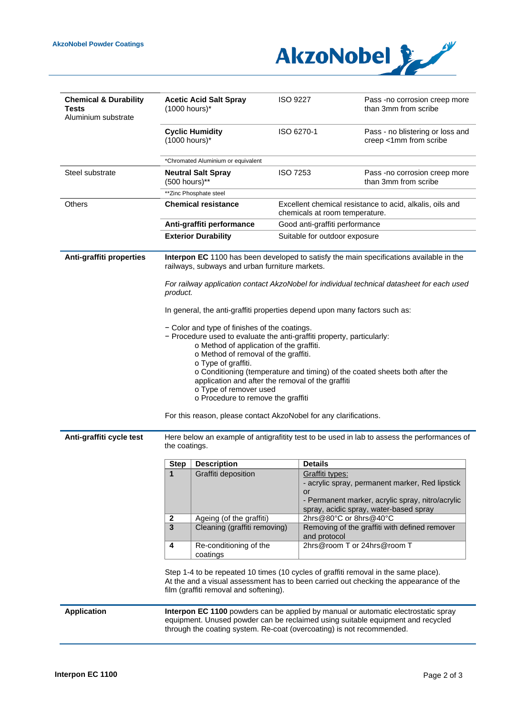

| <b>Chemical &amp; Durability</b><br>Tests<br>Aluminium substrate                                                                                                                                                       | <b>Acetic Acid Salt Spray</b><br>$(1000$ hours) $*$                                                                                                                                                                                                                                                                                                                                                                                                                                                                                                                                       |                                                                       | <b>ISO 9227</b>             |                                                                                            | Pass -no corrosion creep more<br>than 3mm from scribe                                                                                                                 |  |                          |                                                                                                              |                     |  |                       |                                                                                                                                               |
|------------------------------------------------------------------------------------------------------------------------------------------------------------------------------------------------------------------------|-------------------------------------------------------------------------------------------------------------------------------------------------------------------------------------------------------------------------------------------------------------------------------------------------------------------------------------------------------------------------------------------------------------------------------------------------------------------------------------------------------------------------------------------------------------------------------------------|-----------------------------------------------------------------------|-----------------------------|--------------------------------------------------------------------------------------------|-----------------------------------------------------------------------------------------------------------------------------------------------------------------------|--|--------------------------|--------------------------------------------------------------------------------------------------------------|---------------------|--|-----------------------|-----------------------------------------------------------------------------------------------------------------------------------------------|
|                                                                                                                                                                                                                        | (1000 hours)*                                                                                                                                                                                                                                                                                                                                                                                                                                                                                                                                                                             | <b>Cyclic Humidity</b>                                                | ISO 6270-1                  |                                                                                            | Pass - no blistering or loss and<br>creep <1mm from scribe                                                                                                            |  |                          |                                                                                                              |                     |  |                       |                                                                                                                                               |
|                                                                                                                                                                                                                        |                                                                                                                                                                                                                                                                                                                                                                                                                                                                                                                                                                                           | *Chromated Aluminium or equivalent                                    |                             |                                                                                            |                                                                                                                                                                       |  |                          |                                                                                                              |                     |  |                       |                                                                                                                                               |
| Steel substrate                                                                                                                                                                                                        | (500 hours)**                                                                                                                                                                                                                                                                                                                                                                                                                                                                                                                                                                             | <b>Neutral Salt Spray</b>                                             | <b>ISO 7253</b>             |                                                                                            | Pass -no corrosion creep more<br>than 3mm from scribe                                                                                                                 |  |                          |                                                                                                              |                     |  |                       |                                                                                                                                               |
|                                                                                                                                                                                                                        | **Zinc Phosphate steel                                                                                                                                                                                                                                                                                                                                                                                                                                                                                                                                                                    |                                                                       |                             |                                                                                            |                                                                                                                                                                       |  |                          |                                                                                                              |                     |  |                       |                                                                                                                                               |
| <b>Others</b>                                                                                                                                                                                                          | <b>Chemical resistance</b>                                                                                                                                                                                                                                                                                                                                                                                                                                                                                                                                                                |                                                                       |                             | Excellent chemical resistance to acid, alkalis, oils and<br>chemicals at room temperature. |                                                                                                                                                                       |  |                          |                                                                                                              |                     |  |                       |                                                                                                                                               |
|                                                                                                                                                                                                                        | Anti-graffiti performance                                                                                                                                                                                                                                                                                                                                                                                                                                                                                                                                                                 |                                                                       |                             | Good anti-graffiti performance                                                             |                                                                                                                                                                       |  |                          |                                                                                                              |                     |  |                       |                                                                                                                                               |
|                                                                                                                                                                                                                        |                                                                                                                                                                                                                                                                                                                                                                                                                                                                                                                                                                                           | <b>Exterior Durability</b>                                            |                             | Suitable for outdoor exposure                                                              |                                                                                                                                                                       |  |                          |                                                                                                              |                     |  |                       |                                                                                                                                               |
| Anti-graffiti properties                                                                                                                                                                                               | Interpon EC 1100 has been developed to satisfy the main specifications available in the<br>railways, subways and urban furniture markets.                                                                                                                                                                                                                                                                                                                                                                                                                                                 |                                                                       |                             |                                                                                            |                                                                                                                                                                       |  |                          |                                                                                                              |                     |  |                       |                                                                                                                                               |
|                                                                                                                                                                                                                        | For railway application contact AkzoNobel for individual technical datasheet for each used<br>product.                                                                                                                                                                                                                                                                                                                                                                                                                                                                                    |                                                                       |                             |                                                                                            |                                                                                                                                                                       |  |                          |                                                                                                              |                     |  |                       |                                                                                                                                               |
|                                                                                                                                                                                                                        | In general, the anti-graffiti properties depend upon many factors such as:<br>- Color and type of finishes of the coatings.<br>- Procedure used to evaluate the anti-graffiti property, particularly:<br>o Method of application of the graffiti.<br>o Method of removal of the graffiti.<br>o Type of graffiti.<br>o Conditioning (temperature and timing) of the coated sheets both after the<br>application and after the removal of the graffiti<br>o Type of remover used<br>o Procedure to remove the graffiti<br>For this reason, please contact AkzoNobel for any clarifications. |                                                                       |                             |                                                                                            |                                                                                                                                                                       |  |                          |                                                                                                              |                     |  |                       |                                                                                                                                               |
|                                                                                                                                                                                                                        |                                                                                                                                                                                                                                                                                                                                                                                                                                                                                                                                                                                           |                                                                       |                             |                                                                                            |                                                                                                                                                                       |  | Anti-graffiti cycle test | Here below an example of antigrafitity test to be used in lab to assess the performances of<br>the coatings. |                     |  |                       |                                                                                                                                               |
|                                                                                                                                                                                                                        |                                                                                                                                                                                                                                                                                                                                                                                                                                                                                                                                                                                           |                                                                       |                             |                                                                                            |                                                                                                                                                                       |  |                          | <b>Step</b>                                                                                                  | <b>Description</b>  |  | <b>Details</b>        |                                                                                                                                               |
|                                                                                                                                                                                                                        |                                                                                                                                                                                                                                                                                                                                                                                                                                                                                                                                                                                           |                                                                       |                             |                                                                                            |                                                                                                                                                                       |  |                          | 1                                                                                                            | Graffiti deposition |  | Graffiti types:<br>or | - acrylic spray, permanent marker, Red lipstick<br>- Permanent marker, acrylic spray, nitro/acrylic<br>spray, acidic spray, water-based spray |
| $\mathbf{2}$                                                                                                                                                                                                           | Ageing (of the graffiti)                                                                                                                                                                                                                                                                                                                                                                                                                                                                                                                                                                  |                                                                       |                             | 2hrs@80°C or 8hrs@40°C                                                                     |                                                                                                                                                                       |  |                          |                                                                                                              |                     |  |                       |                                                                                                                                               |
| $\overline{\mathbf{3}}$                                                                                                                                                                                                | Cleaning (graffiti removing)                                                                                                                                                                                                                                                                                                                                                                                                                                                                                                                                                              |                                                                       | and protocol                | Removing of the graffiti with defined remover                                              |                                                                                                                                                                       |  |                          |                                                                                                              |                     |  |                       |                                                                                                                                               |
| 4                                                                                                                                                                                                                      | Re-conditioning of the<br>coatings                                                                                                                                                                                                                                                                                                                                                                                                                                                                                                                                                        |                                                                       | 2hrs@room T or 24hrs@room T |                                                                                            |                                                                                                                                                                       |  |                          |                                                                                                              |                     |  |                       |                                                                                                                                               |
| Step 1-4 to be repeated 10 times (10 cycles of graffiti removal in the same place).<br>At the and a visual assessment has to been carried out checking the appearance of the<br>film (graffiti removal and softening). |                                                                                                                                                                                                                                                                                                                                                                                                                                                                                                                                                                                           |                                                                       |                             |                                                                                            |                                                                                                                                                                       |  |                          |                                                                                                              |                     |  |                       |                                                                                                                                               |
| <b>Application</b>                                                                                                                                                                                                     |                                                                                                                                                                                                                                                                                                                                                                                                                                                                                                                                                                                           | through the coating system. Re-coat (overcoating) is not recommended. |                             |                                                                                            | Interpon EC 1100 powders can be applied by manual or automatic electrostatic spray<br>equipment. Unused powder can be reclaimed using suitable equipment and recycled |  |                          |                                                                                                              |                     |  |                       |                                                                                                                                               |